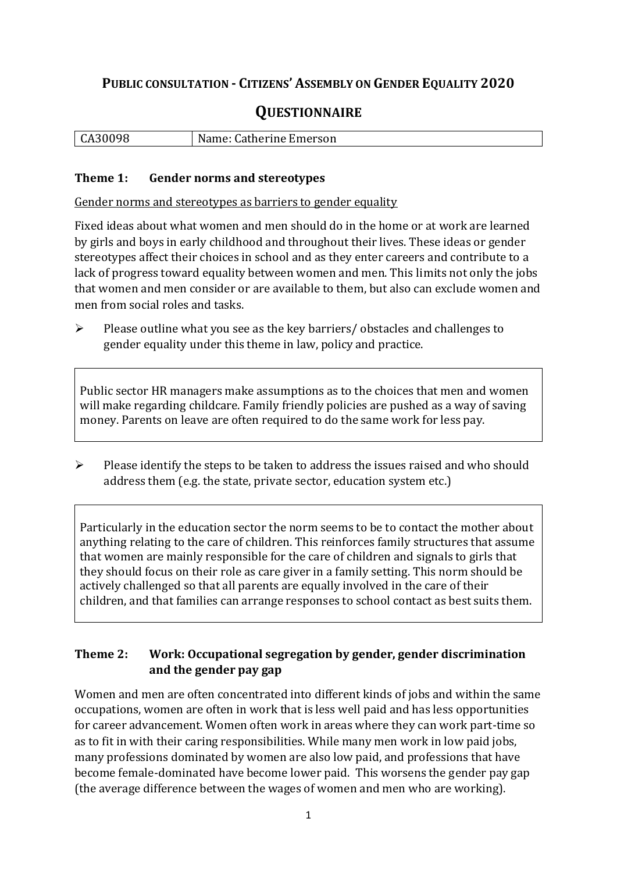# **PUBLIC CONSULTATION - CITIZENS' ASSEMBLY ON GENDER EQUALITY 2020**

# **QUESTIONNAIRE**

| 30098<br>$\sim$ $\sim$ | Catherine Emerson<br>$  -$<br>wame. |
|------------------------|-------------------------------------|
|                        |                                     |

#### **Theme 1: Gender norms and stereotypes**

Gender norms and stereotypes as barriers to gender equality

Fixed ideas about what women and men should do in the home or at work are learned by girls and boys in early childhood and throughout their lives. These ideas or gender stereotypes affect their choices in school and as they enter careers and contribute to a lack of progress toward equality between women and men. This limits not only the jobs that women and men consider or are available to them, but also can exclude women and men from social roles and tasks.

➢ Please outline what you see as the key barriers/ obstacles and challenges to gender equality under this theme in law, policy and practice.

Public sector HR managers make assumptions as to the choices that men and women will make regarding childcare. Family friendly policies are pushed as a way of saving money. Parents on leave are often required to do the same work for less pay.

➢ Please identify the steps to be taken to address the issues raised and who should address them (e.g. the state, private sector, education system etc.)

Particularly in the education sector the norm seems to be to contact the mother about anything relating to the care of children. This reinforces family structures that assume that women are mainly responsible for the care of children and signals to girls that they should focus on their role as care giver in a family setting. This norm should be actively challenged so that all parents are equally involved in the care of their children, and that families can arrange responses to school contact as best suits them.

### **Theme 2: Work: Occupational segregation by gender, gender discrimination and the gender pay gap**

Women and men are often concentrated into different kinds of jobs and within the same occupations, women are often in work that is less well paid and has less opportunities for career advancement. Women often work in areas where they can work part-time so as to fit in with their caring responsibilities. While many men work in low paid jobs, many professions dominated by women are also low paid, and professions that have become female-dominated have become lower paid. This worsens the gender pay gap (the average difference between the wages of women and men who are working).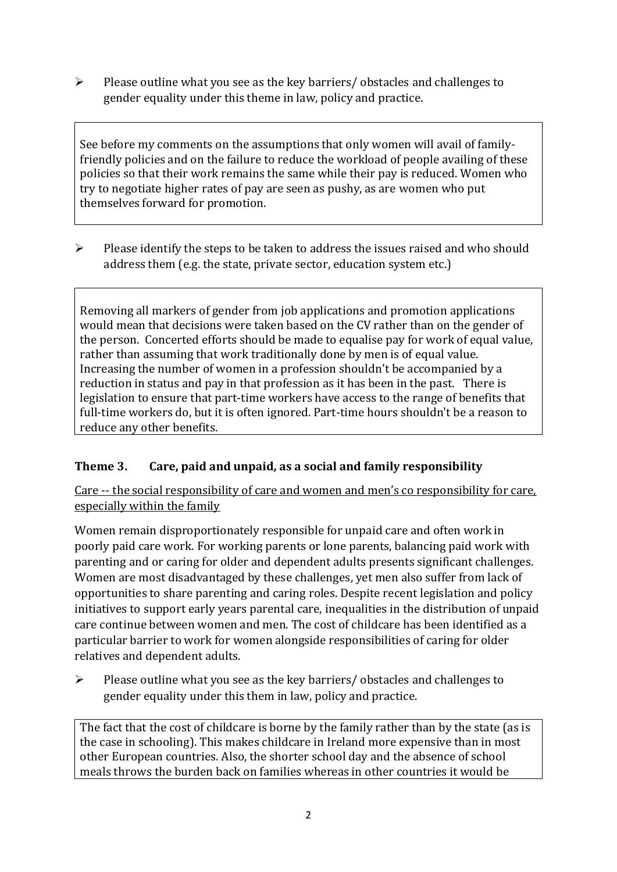➢ Please outline what you see as the key barriers/ obstacles and challenges to gender equality under this theme in law, policy and practice.

See before my comments on the assumptions that only women will avail of familyfriendly policies and on the failure to reduce the workload of people availing of these policies so that their work remains the same while their pay is reduced. Women who try to negotiate higher rates of pay are seen as pushy, as are women who put themselves forward for promotion.

➢ Please identify the steps to be taken to address the issues raised and who should address them (e.g. the state, private sector, education system etc.)

Removing all markers of gender from job applications and promotion applications would mean that decisions were taken based on the CV rather than on the gender of the person. Concerted efforts should be made to equalise pay for work of equal value, rather than assuming that work traditionally done by men is of equal value. Increasing the number of women in a profession shouldn't be accompanied by a reduction in status and pay in that profession as it has been in the past. There is legislation to ensure that part-time workers have access to the range of benefits that full-time workers do, but it is often ignored. Part-time hours shouldn't be a reason to reduce any other benefits.

# **Theme 3. Care, paid and unpaid, as a social and family responsibility**

Care -- the social responsibility of care and women and men's co responsibility for care, especially within the family

Women remain disproportionately responsible for unpaid care and often work in poorly paid care work. For working parents or [lone parents,](https://aran.library.nuigalway.ie/bitstream/handle/10379/6044/Millar_and_Crosse_Activation_Report.pdf?sequence=1&isAllowed=y) balancing paid work with parenting and or caring for older and dependent adults presents significant challenges. Women are [most disadvantaged by these challenges,](https://eige.europa.eu/gender-equality-index/game/IE/W) yet men also suffer from lack of opportunities to share parenting and caring roles. Despite recent legislation and policy initiatives to support early years parental care, [inequalities in the distribution of unpaid](https://www.ihrec.ie/app/uploads/2019/07/Caring-and-Unpaid-Work-in-Ireland_Final.pdf)  [care](https://www.ihrec.ie/app/uploads/2019/07/Caring-and-Unpaid-Work-in-Ireland_Final.pdf) continue between women and men. The cost of childcare has been identified as a particular barrier to work for women alongside responsibilities of caring for older relatives and dependent adults.

➢ Please outline what you see as the key barriers/ obstacles and challenges to gender equality under this them in law, policy and practice.

The fact that the cost of childcare is borne by the family rather than by the state (as is the case in schooling). This makes childcare in Ireland more expensive than in most other European countries. Also, the shorter school day and the absence of school meals throws the burden back on families whereas in other countries it would be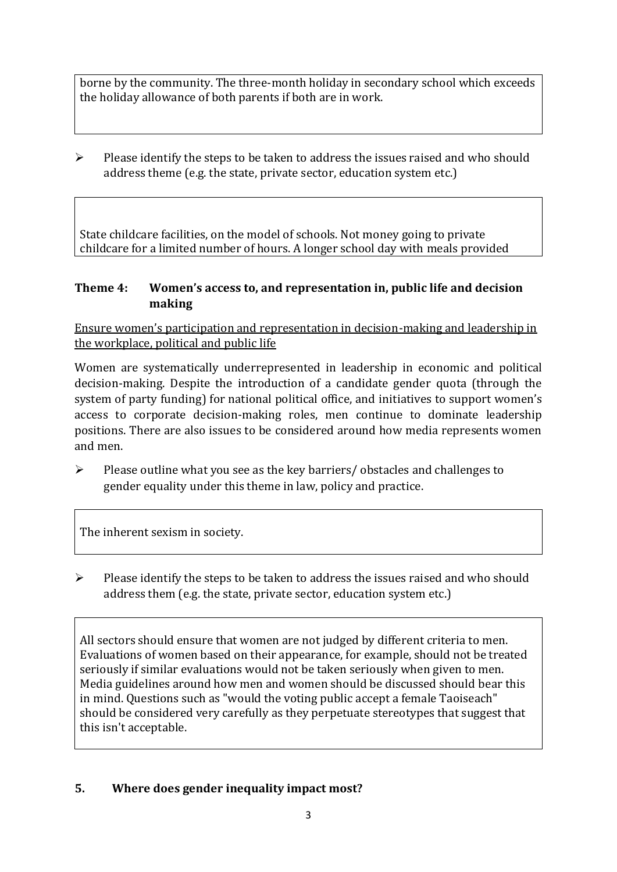borne by the community. The three-month holiday in secondary school which exceeds the holiday allowance of both parents if both are in work.

 $\triangleright$  Please identify the steps to be taken to address the issues raised and who should address theme (e.g. the state, private sector, education system etc.)

State childcare facilities, on the model of schools. Not money going to private childcare for a limited number of hours. A longer school day with meals provided

### **Theme 4: Women's access to, and representation in, public life and decision making**

Ensure women's participation and representation in decision-making and leadership in the workplace, political and public life

Women are systematically underrepresented in leadership in [economic](https://eige.europa.eu/gender-equality-index/2019/compare-countries/power/2/bar) and [political](https://eige.europa.eu/gender-equality-index/2019/compare-countries/power/1/bar)  [decision-](https://eige.europa.eu/gender-equality-index/2019/compare-countries/power/1/bar)making. Despite the introduction of a candidate gender quota (through the system of party funding) for national political office, and [initiatives](https://betterbalance.ie/) to support women's access to corporate decision-making roles, men continue to dominate leadership positions. There are also issues to be considered around how media represents women and men.

 $\triangleright$  Please outline what you see as the key barriers/ obstacles and challenges to gender equality under this theme in law, policy and practice.

The inherent sexism in society.

➢ Please identify the steps to be taken to address the issues raised and who should address them (e.g. the state, private sector, education system etc.)

All sectors should ensure that women are not judged by different criteria to men. Evaluations of women based on their appearance, for example, should not be treated seriously if similar evaluations would not be taken seriously when given to men. Media guidelines around how men and women should be discussed should bear this in mind. Questions such as "would the voting public accept a female Taoiseach" should be considered very carefully as they perpetuate stereotypes that suggest that this isn't acceptable.

# **5. Where does gender inequality impact most?**